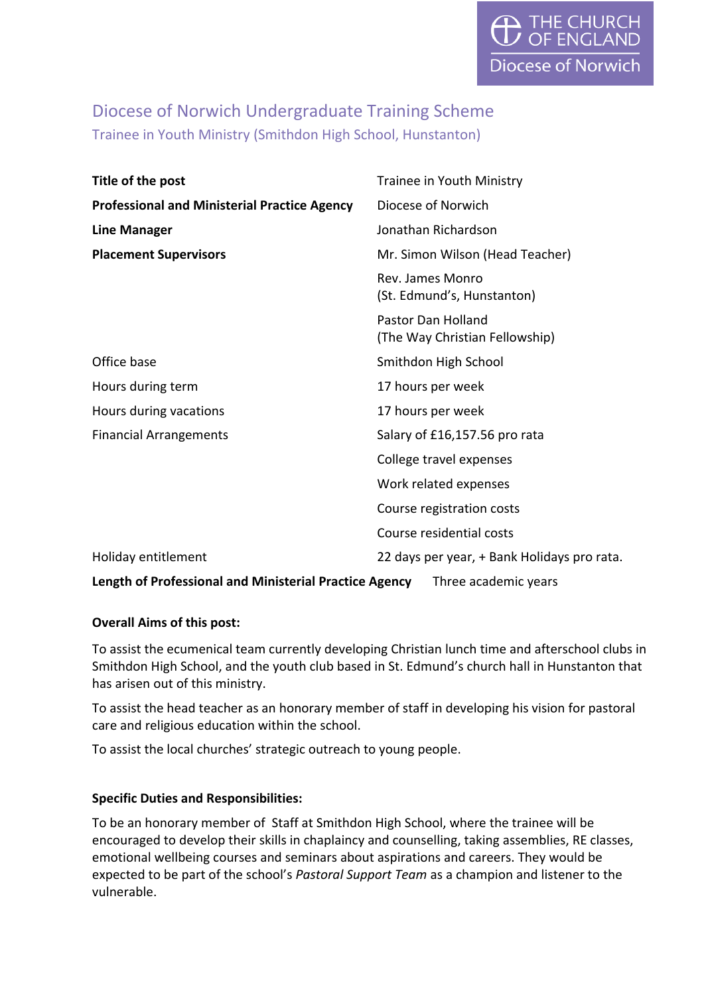# Diocese of Norwich Undergraduate Training Scheme Trainee in Youth Ministry (Smithdon High School, Hunstanton)

| Title of the post                                                                     | Trainee in Youth Ministry                                   |
|---------------------------------------------------------------------------------------|-------------------------------------------------------------|
| <b>Professional and Ministerial Practice Agency</b>                                   | Diocese of Norwich                                          |
| <b>Line Manager</b>                                                                   | Jonathan Richardson                                         |
| <b>Placement Supervisors</b>                                                          | Mr. Simon Wilson (Head Teacher)                             |
|                                                                                       | Rev. James Monro<br>(St. Edmund's, Hunstanton)              |
|                                                                                       | <b>Pastor Dan Holland</b><br>(The Way Christian Fellowship) |
| Office base                                                                           | Smithdon High School                                        |
| Hours during term                                                                     | 17 hours per week                                           |
| Hours during vacations                                                                | 17 hours per week                                           |
| <b>Financial Arrangements</b>                                                         | Salary of £16,157.56 pro rata                               |
|                                                                                       | College travel expenses                                     |
|                                                                                       | Work related expenses                                       |
|                                                                                       | Course registration costs                                   |
|                                                                                       | Course residential costs                                    |
| Holiday entitlement                                                                   | 22 days per year, + Bank Holidays pro rata.                 |
| <b>Length of Professional and Ministerial Practice Agency</b><br>Three academic years |                                                             |

# **Overall Aims of this post:**

To assist the ecumenical team currently developing Christian lunch time and afterschool clubs in Smithdon High School, and the youth club based in St. Edmund's church hall in Hunstanton that has arisen out of this ministry.

To assist the head teacher as an honorary member of staff in developing his vision for pastoral care and religious education within the school.

To assist the local churches' strategic outreach to young people.

### **Specific Duties and Responsibilities:**

To be an honorary member of Staff at Smithdon High School, where the trainee will be encouraged to develop their skills in chaplaincy and counselling, taking assemblies, RE classes, emotional wellbeing courses and seminars about aspirations and careers. They would be expected to be part of the school's *Pastoral Support Team* as a champion and listener to the vulnerable.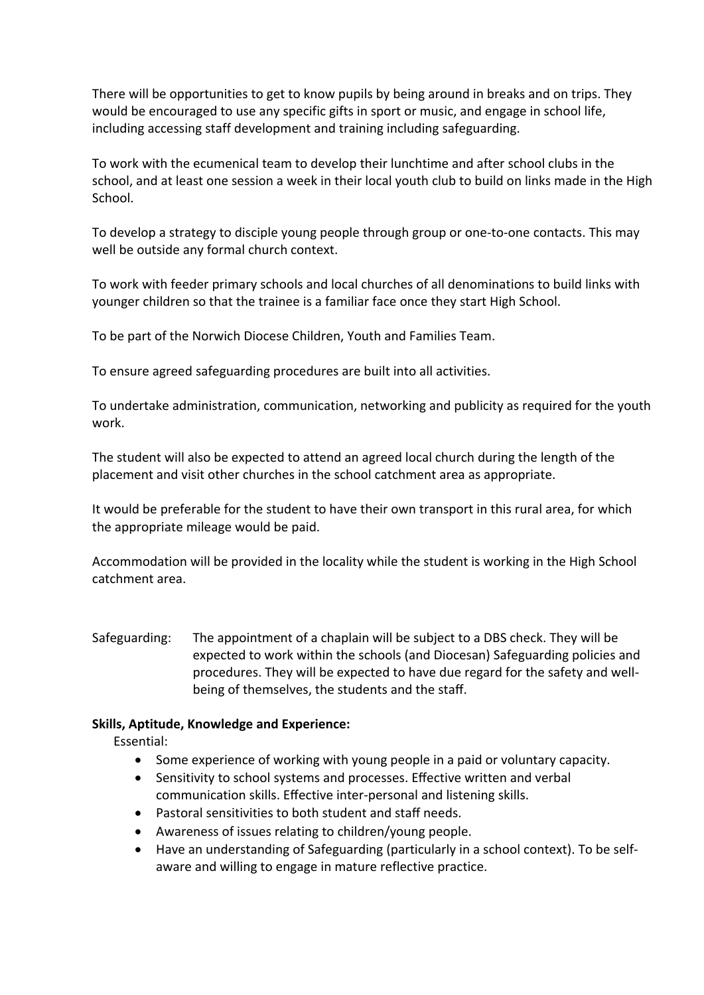There will be opportunities to get to know pupils by being around in breaks and on trips. They would be encouraged to use any specific gifts in sport or music, and engage in school life, including accessing staff development and training including safeguarding.

To work with the ecumenical team to develop their lunchtime and after school clubs in the school, and at least one session a week in their local youth club to build on links made in the High School.

To develop a strategy to disciple young people through group or one-to-one contacts. This may well be outside any formal church context.

To work with feeder primary schools and local churches of all denominations to build links with younger children so that the trainee is a familiar face once they start High School.

To be part of the Norwich Diocese Children, Youth and Families Team.

To ensure agreed safeguarding procedures are built into all activities.

To undertake administration, communication, networking and publicity as required for the youth work.

The student will also be expected to attend an agreed local church during the length of the placement and visit other churches in the school catchment area as appropriate.

It would be preferable for the student to have their own transport in this rural area, for which the appropriate mileage would be paid.

Accommodation will be provided in the locality while the student is working in the High School catchment area.

Safeguarding: The appointment of a chaplain will be subject to a DBS check. They will be expected to work within the schools (and Diocesan) Safeguarding policies and procedures. They will be expected to have due regard for the safety and wellbeing of themselves, the students and the staff.

# **Skills, Aptitude, Knowledge and Experience:**

Essential:

- Some experience of working with young people in a paid or voluntary capacity.
- Sensitivity to school systems and processes. Effective written and verbal communication skills. Effective inter-personal and listening skills.
- Pastoral sensitivities to both student and staff needs.
- Awareness of issues relating to children/young people.
- Have an understanding of Safeguarding (particularly in a school context). To be selfaware and willing to engage in mature reflective practice.